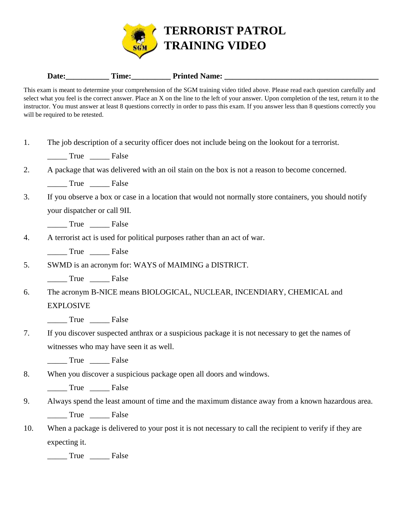

## Date: Time: Time: Printed Name:

This exam is meant to determine your comprehension of the SGM training video titled above. Please read each question carefully and select what you feel is the correct answer. Place an X on the line to the left of your answer. Upon completion of the test, return it to the instructor. You must answer at least 8 questions correctly in order to pass this exam. If you answer less than 8 questions correctly you will be required to be retested.

|  |  |  | The job description of a security officer does not include being on the lookout for a terrorist. |  |
|--|--|--|--------------------------------------------------------------------------------------------------|--|
|  |  |  |                                                                                                  |  |

\_\_\_\_\_ True \_\_\_\_\_ False

| ∠. |  |  |  | A package that was delivered with an oil stain on the box is not a reason to become concerned. |  |
|----|--|--|--|------------------------------------------------------------------------------------------------|--|
|----|--|--|--|------------------------------------------------------------------------------------------------|--|

\_\_\_\_\_ True \_\_\_\_\_ False

3. If you observe a box or case in a location that would not normally store containers, you should notify your dispatcher or call 9II.

\_\_\_\_\_ True \_\_\_\_\_ False

4. A terrorist act is used for political purposes rather than an act of war.

\_\_\_\_\_ True \_\_\_\_\_ False

5. SWMD is an acronym for: WAYS of MAIMING a DISTRICT.

\_\_\_\_\_ True \_\_\_\_\_ False

6. The acronym B-NICE means BIOLOGICAL, NUCLEAR, INCENDIARY, CHEMICAL and EXPLOSIVE

\_\_\_\_\_ True \_\_\_\_\_ False

7. If you discover suspected anthrax or a suspicious package it is not necessary to get the names of witnesses who may have seen it as well.

\_\_\_\_\_ True \_\_\_\_\_ False

8. When you discover a suspicious package open all doors and windows.

\_\_\_\_\_ True \_\_\_\_\_ False

9. Always spend the least amount of time and the maximum distance away from a known hazardous area.

\_\_\_\_\_ True \_\_\_\_\_ False

10. When a package is delivered to your post it is not necessary to call the recipient to verify if they are expecting it.

\_\_\_\_\_ True \_\_\_\_\_ False